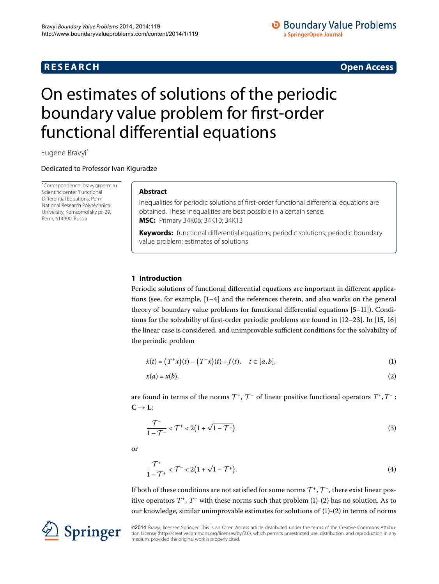## **R E S E A R C H Open Access**

## **O** Boundary Value Problems a SpringerOpen Journal

# <span id="page-0-0"></span>On estimates of solutions of the periodic boundary value problem for first-order functional differential equations

Eugene Bravy[i\\*](#page-0-0)

Dedicated to Professor Ivan Kiguradze

\* Correspondence: [bravyi@perm.ru](mailto:bravyi@perm.ru) Scientific center 'Functional Differential Equations', Perm National Research Polytechnical University, Komsomol'sky pr. 29, Perm, 614990, Russia

## **Abstract**

Inequalities for periodic solutions of first-order functional differential equations are obtained. These inequalities are best possible in a certain sense. **MSC:** Primary 34K06; 34K10; 34K13

**Keywords:** functional differential equations; periodic solutions; periodic boundary value problem; estimates of solutions

## **1 Introduction**

Periodic solutions of functional differential equations are important in different applications (see, for example,  $[1-4]$  and the references therein, and also works on the general theory of boundary value problems for functional differential equations [5-11[\]](#page-11-3)). Conditions for the solvability of first-order periodic problems are found in  $[12-23]$  $[12-23]$ . In  $[15, 16]$  $[15, 16]$  $[15, 16]$ the linear case is considered, and unimprovable sufficient conditions for the solvability of the periodic problem

<span id="page-0-2"></span><span id="page-0-1"></span>
$$
\dot{x}(t) = (T^+x)(t) - (T^-x)(t) + f(t), \quad t \in [a, b],
$$
\n(1)

<span id="page-0-3"></span>
$$
x(a) = x(b),\tag{2}
$$

are found in terms of the norms  $\mathcal{T}^+$ ,  $\mathcal{T}^-$  of linear positive functional operators  $T^+$ ,  $T^-$ :  $C \rightarrow L$ :

<span id="page-0-4"></span>
$$
\frac{\mathcal{T}^{-}}{1-\mathcal{T}^{-}} < \mathcal{T}^{+} < 2\left(1+\sqrt{1-\mathcal{T}^{-}}\right)
$$
\n(3)

or

$$
\frac{\mathcal{T}^+}{1-\mathcal{T}^+} < \mathcal{T}^- < 2\left(1+\sqrt{1-\mathcal{T}^+}\right). \tag{4}
$$

If both of these conditions are not satisfied for some norms  $\mathcal{T}^+$ ,  $\mathcal{T}^-$ , there exist linear positive operators  $T^+$ ,  $T^-$  with these norms such that problem  $(1)-(2)$  $(1)-(2)$  has no solution. As to our knowledge, similar unimprovable estimates for solutions of  $(1)-(2)$  $(1)-(2)$  $(1)-(2)$  in terms of norms

©2014 Bravyi; licensee Springer. This is an Open Access article distributed under the terms of the Creative Commons Attribution License ([http://creativecommons.org/licenses/by/2.0\)](http://creativecommons.org/licenses/by/2.0), which permits unrestricted use, distribution, and reproduction in any medium, provided the original work is properly cited.

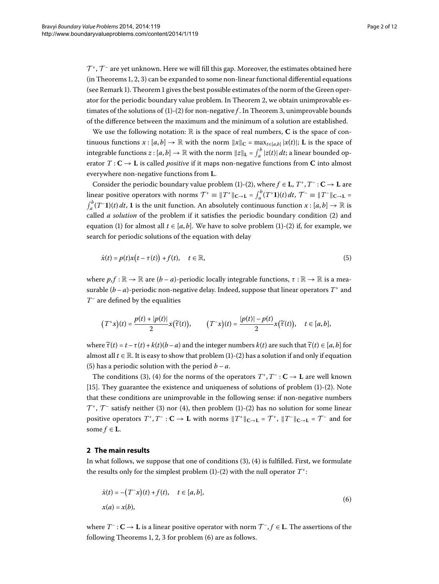$\mathcal{T}^+$ ,  $\mathcal{T}^-$  are yet unknown. Here we will fill this gap. Moreover, the estimates obtained here  $(in Theorems 1, 2, 3)$  can be expanded to some non-linear functional differential equations (see Remark 1[\)](#page-2-1). Theorem 1 gives the best possible estimates of the norm of the Green operator for the periodic boundary value problem. In Theorem 2, we obtain unimprovable estimates of the solutions of  $(1)-(2)$  $(1)-(2)$  for non-negative *f*. In Theorem 3, unimprovable bounds of the difference between the maximum and the minimum of a solution are established.

We use the following notation:  $\mathbb{R}$  is the space of real numbers,  $\bf{C}$  is the space of continuous functions  $x : [a, b] \to \mathbb{R}$  with the norm  $||x||_C = \max_{t \in [a, b]} |x(t)|$ ; L is the space of integrable functions  $z : [a, b] \to \mathbb{R}$  with the norm  $||z||_{\mathbf{L}} = \int_a^b |z(t)| dt$ ; a linear bounded operator  $T: \mathbb{C} \to \mathbb{L}$  is called *positive* if it maps non-negative functions from  $\mathbb{C}$  into almost everywhere non-negative functions from **L**.

Consider the periodic boundary value problem [\(](#page-0-2)1)-(2), where  $f \in L$ ,  $T^*$ ,  $T^-$ :  $C \to L$  are linear positive operators with norms  $\mathcal{T}^+ \equiv \|T^+\|_{\mathbf{C} \to \mathbf{L}} = \int_a^b (T^+ \mathbf{1})(t) dt$ ,  $\mathcal{T}^- \equiv \|T^-\|_{\mathbf{C} \to \mathbf{L}} = \int_a^b (T^- \mathbf{1})(t) dt$ . I is the unit function. An absolutely continuous function  $x : [a, b] \to \mathbb{R}$  is  $\int_{a}^{b} (T^{-}1)(t) dt$ , 1 is the unit function. An absolutely continuous function  $x : [a, b] \to \mathbb{R}$  is called *a solution* of the problem if it satisfies the periodic boundary condition [\(](#page-0-2)2) and equation [\(](#page-0-2)1) for almost all  $t \in [a, b]$ . We have to solve problem (1)-(2) if, for example, we search for periodic solutions of the equation with delay

<span id="page-1-0"></span>
$$
\dot{x}(t) = p(t)x\big(t - \tau(t)\big) + f(t), \quad t \in \mathbb{R},\tag{5}
$$

where  $p, f : \mathbb{R} \to \mathbb{R}$  are  $(b - a)$ -periodic locally integrable functions,  $\tau : \mathbb{R} \to \mathbb{R}$  is a measurable  $(b - a)$ -periodic non-negative delay. Indeed, suppose that linear operators  $T^+$  and *T*– are defined by the equalities

$$
(T^+x)(t)=\frac{p(t)+|p(t)|}{2}x(\widetilde{\tau}(t)),\qquad (T^-x)(t)=\frac{|p(t)|-p(t)}{2}x(\widetilde{\tau}(t)),\quad t\in [a,b],
$$

where  $\tilde{\tau}(t) = t - \tau(t) + k(t)(b - a)$  and the integer numbers  $k(t)$  are such that  $\tilde{\tau}(t) \in [a, b]$  for almost all  $t \in \mathbb{R}$ . It is easy to show that problem [\(](#page-0-2)1)-(2) has a solution if and only if equation (5[\)](#page-1-0) has a periodic solution with the period  $b - a$ .

The conditions (3[\)](#page-0-3), (4) for the norms of the operators  $T^*$ ,  $T^-$  :  $C \rightarrow L$  are well known [15[\]](#page-11-6). They guarantee the existence and uniqueness of solutions of problem  $(1)-(2)$  $(1)-(2)$  $(1)-(2)$ . Note that these conditions are unimprovable in the following sense: if non-negative numbers  $\mathcal{T}^+$ ,  $\mathcal{T}^-$  satisfy neither [\(](#page-0-3)3[\)](#page-0-2) nor (4), then problem (1)-(2) has no solution for some linear positive operators  $T^+$ ,  $T^-$ :  $C \to L$  with norms  $||T^+||_{C \to L} = T^+$ ,  $||T^-||_{C \to L} = T^-$  and for some  $f \in L$ .

### **2 The main results**

In what follows, we suppose that one of conditions  $(3)$ ,  $(4)$  is fulfilled. First, we formulate the results only for the simplest problem  $(1)-(2)$  $(1)-(2)$  with the null operator  $T^+$ :

<span id="page-1-1"></span>
$$
\dot{x}(t) = -(T^{-}x)(t) + f(t), \quad t \in [a, b],
$$
  
\n
$$
x(a) = x(b), \tag{6}
$$

where  $T^-$  :  $C \to L$  is a linear positive operator with norm  $T^-$ ,  $f \in L$ . The assertions of the following Theorems 1[,](#page-2-0) 2, 3 for problem  $(6)$  $(6)$  are as follows.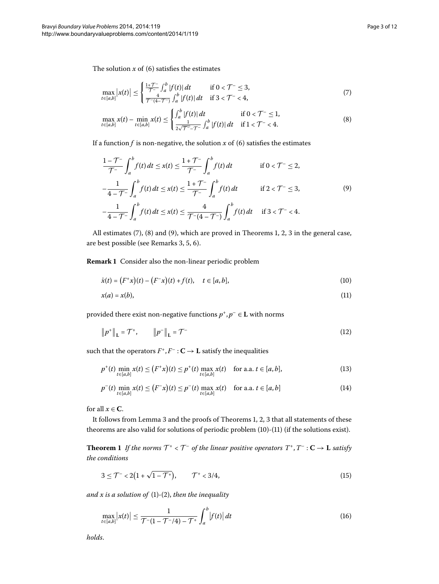The solution  $x$  of [\(](#page-1-1)6) satisfies the estimates

<span id="page-2-3"></span><span id="page-2-2"></span>
$$
\max_{t \in [a,b]} |x(t)| \le \begin{cases} \frac{1+T^{-}}{T^{-}} \int_{a}^{b} |f(t)| dt & \text{if } 0 < T^{-} \le 3, \\ \frac{4}{T^{-}(4-T^{-})} \int_{a}^{b} |f(t)| dt & \text{if } 3 < T^{-} < 4, \end{cases}
$$
(7)

<span id="page-2-4"></span>
$$
\max_{t \in [a,b]} x(t) - \min_{t \in [a,b]} x(t) \le \begin{cases} \int_a^b |f(t)| \, dt & \text{if } 0 < \mathcal{T}^- \le 1, \\ \frac{1}{2\sqrt{\mathcal{T}^-} - \mathcal{T}^-} \int_a^b |f(t)| \, dt & \text{if } 1 < \mathcal{T}^- < 4. \end{cases} \tag{8}
$$

If a function  $f$  is non-negative, the solution  $x$  of (6) satisfies the estimates

$$
\frac{1 - \mathcal{T}^{-}}{\mathcal{T}^{-}} \int_{a}^{b} f(t) dt \leq x(t) \leq \frac{1 + \mathcal{T}^{-}}{\mathcal{T}^{-}} \int_{a}^{b} f(t) dt \quad \text{if } 0 < \mathcal{T}^{-} \leq 2,
$$
  

$$
-\frac{1}{4 - \mathcal{T}^{-}} \int_{a}^{b} f(t) dt \leq x(t) \leq \frac{1 + \mathcal{T}^{-}}{\mathcal{T}^{-}} \int_{a}^{b} f(t) dt \quad \text{if } 2 < \mathcal{T}^{-} \leq 3,
$$
  

$$
-\frac{1}{4 - \mathcal{T}^{-}} \int_{a}^{b} f(t) dt \leq x(t) \leq \frac{4}{\mathcal{T}^{-} (4 - \mathcal{T}^{-})} \int_{a}^{b} f(t) dt \quad \text{if } 3 < \mathcal{T}^{-} < 4.
$$
 (9)

<span id="page-2-6"></span><span id="page-2-5"></span><span id="page-2-1"></span>
$$
-\frac{1}{4 - \mathcal{T}^{-}} \int_{a}^{a} f(t) dt \leq x(t) \leq \frac{1}{\mathcal{T}^{-}(4 - \mathcal{T}^{-})} \int_{a}^{a} f(t) dt \quad \text{if } 3 < \mathcal{T}^{-} < 4.
$$

All estimates  $(7)$  $(7)$  $(7)$ [,](#page-4-0)  $(8)$  and  $(9)$ , which are proved in Theorems 1, 2, 3 in the general case, are best possible (see Remarks 3[,](#page-3-0) 5, 6).

**Remark 1** Consider also the non-linear periodic problem

<span id="page-2-11"></span>
$$
\dot{x}(t) = (F^+x)(t) - (F^-x)(t) + f(t), \quad t \in [a, b],
$$
\n(10)

<span id="page-2-9"></span>
$$
x(a) = x(b),\tag{11}
$$

provided there exist non-negative functions  $p^+, p^- \in \mathbf{L}$  with norms

<span id="page-2-10"></span>
$$
\|p^+\|_{\mathbf{L}} = \mathcal{T}^+, \qquad \|p^-\|_{\mathbf{L}} = \mathcal{T}^- \tag{12}
$$

such that the operators  $F^+, F^- : \mathbf{C} \to \mathbf{L}$  satisfy the inequalities

$$
p^{+}(t) \min_{t \in [a,b]} x(t) \le (F^{+}x)(t) \le p^{+}(t) \max_{t \in [a,b]} x(t) \quad \text{for a.a. } t \in [a,b],
$$
 (13)

<span id="page-2-7"></span><span id="page-2-0"></span>
$$
p^{-}(t) \min_{t \in [a,b]} x(t) \le (F^{-}x)(t) \le p^{-}(t) \max_{t \in [a,b]} x(t) \quad \text{for a.a. } t \in [a,b]
$$
 (14)

for all  $x \in \mathbb{C}$ .

It follows from Lemma 3 and the proofs of Theorems 1[,](#page-2-0) 2, 3 that all statements of these theorems are also valid for solutions of periodic problem (10)-(11) (if the solutions exist).

**Theorem 1** If the norms  $T^* < T^-$  of the linear positive operators  $T^*$ ,  $T^-$ :  $C \rightarrow L$  satisfy *the conditions*

<span id="page-2-8"></span>
$$
3 \leq \mathcal{T}^{-} < 2\left(1 + \sqrt{1 - \mathcal{T}^{+}}\right), \qquad \mathcal{T}^{+} < 3/4,
$$
\n(15)

and  $x$  is a solution of  $(1)-(2)$  $(1)-(2)$ , then the inequality

$$
\max_{t \in [a,b]} |x(t)| \le \frac{1}{\mathcal{T}^{-}(1 - \mathcal{T}^{-}/4) - \mathcal{T}^{+}} \int_{a}^{b} |f(t)| dt
$$
\n(16)

*holds*.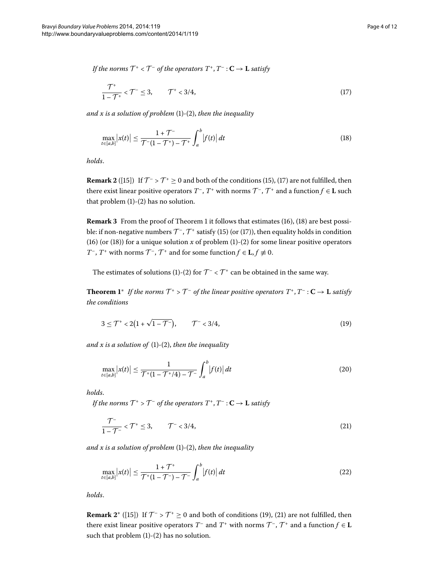*If the norms*  $T^* < T^-$  *of the operators*  $T^*$ ,  $T^-$  :  $C \rightarrow L$  *satisfy* 

<span id="page-3-2"></span><span id="page-3-1"></span>
$$
\frac{\mathcal{T}^+}{1-\mathcal{T}^+} < \mathcal{T}^- \le 3, \qquad \mathcal{T}^+ < 3/4,\tag{17}
$$

*and x is a solution of problem* [\(](#page-0-2)1)-(2), *then the inequality* 

$$
\max_{t \in [a,b]} |x(t)| \le \frac{1 + \mathcal{T}^{-}}{\mathcal{T}^{-} (1 - \mathcal{T}^{+}) - \mathcal{T}^{+}} \int_{a}^{b} |f(t)| \, dt \tag{18}
$$

<span id="page-3-0"></span>*holds*.

**Remark 2** ([15][\)](#page-2-7) If  $\mathcal{T}$  -  $\mathcal{T}$  +  $\geq$  0 and both of the conditions [\(](#page-3-1)15), (17) are not fulfilled, then there exist linear positive operators  $T^{\text{-}}$ ,  $T^{\text{+}}$  with norms  $\mathcal{T}^{\text{-}}$ ,  $\mathcal{T}^{\text{+}}$  and a function  $f \in L$  such that problem  $(1)-(2)$  $(1)-(2)$  $(1)-(2)$  has no solution.

**Remark 3** From the proof of Theorem 1 it follows that estimates [\(](#page-2-8)16[\)](#page-3-2), (18) are best possible: if non-negative numbers  $\mathcal{T}$ <sup>-</sup>,  $\mathcal{T}$ <sup>+</sup> satisfy (15[\)](#page-2-7) [\(](#page-3-1)or (17)), then equality holds in condition (16[\)](#page-0-2) (or (18)) for a unique solution *x* of problem (1)-(2) for some linear positive operators *T*<sup>–</sup>, *T*<sup>+</sup> with norms  $\mathcal{T}$ <sup>–</sup>,  $\mathcal{T}$ <sup>+</sup> and for some function  $f \in L$ ,  $f \neq 0$ .

The estimates of solutions [\(](#page-0-2)1)-(2) for  $\mathcal{T}^- < \mathcal{T}^+$  can be obtained in the same way.

**Theorem 1**<sup>\*</sup> *If the norms*  $\mathcal{T}^+ > \mathcal{T}^-$  *of the linear positive operators*  $T^+$ ,  $T^-$  :  $C \rightarrow L$  *satisfy the conditions*

<span id="page-3-5"></span><span id="page-3-3"></span>
$$
3 \leq T^+ < 2\left(1 + \sqrt{1 - T^-}\right), \qquad T^- < 3/4,\tag{19}
$$

and  $x$  is a solution of  $(1)-(2)$  $(1)-(2)$ , then the inequality

<span id="page-3-4"></span>
$$
\max_{t \in [a,b]} |x(t)| \le \frac{1}{\mathcal{T}^+(1 - \mathcal{T}^+/4) - \mathcal{T}^-} \int_a^b |f(t)| \, dt \tag{20}
$$

*holds*.

*If the norms*  $T^+ > T^-$  *of the operators*  $T^+, T^- : \mathbf{C} \to \mathbf{L}$  *satisfy* 

<span id="page-3-6"></span>
$$
\frac{\mathcal{T}^-}{1-\mathcal{T}^-} < \mathcal{T}^+ \le 3, \qquad \mathcal{T}^- < 3/4,\tag{21}
$$

*and x is a solution of problem* [\(](#page-0-2)1)-(2), *then the inequality* 

$$
\max_{t \in [a,b]} |x(t)| \le \frac{1 + \mathcal{T}^+}{\mathcal{T}^+(1 - \mathcal{T}^-) - \mathcal{T}^-} \int_a^b |f(t)| \, dt \tag{22}
$$

*holds*.

**Remark 2<sup>\*</sup>** ([15[\]](#page-11-6)[\)](#page-3-3) If  $T^-$  >  $T^+$   $\geq$  0 and both of conditions [\(](#page-3-4)19), (21) are not fulfilled, then there exist linear positive operators  $T^-$  and  $T^+$  with norms  $T^-$ ,  $T^+$  and a function  $f \in L$ such that problem  $(1)-(2)$  $(1)-(2)$  has no solution.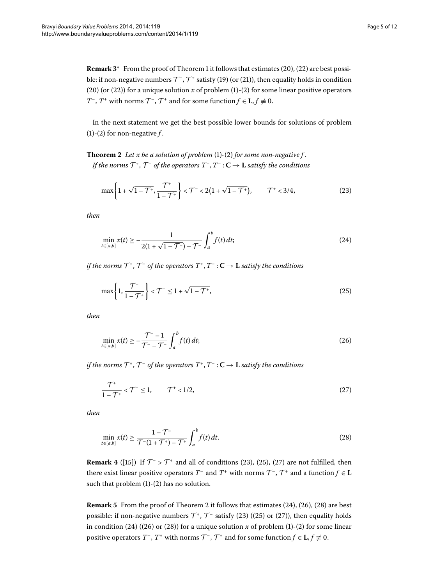<span id="page-4-0"></span>**Remark 3<sup>∗</sup>** From the proof of Theorem 1 it follows that estimates [\(](#page-3-6)20), (22) are best possible: if non-negative numbers  $\mathcal{T}$ ,  $\mathcal{T}$  satisfy (19[\)](#page-3-3) [\(](#page-3-4)or (21)), then equality holds in condition (20[\)](#page-0-2) (or (22)) for a unique solution  $x$  of problem (1)-(2) for some linear positive operators *T*<sup>–</sup>, *T*<sup>+</sup> with norms  $\mathcal{T}$ <sup>–</sup>,  $\mathcal{T}$ <sup>+</sup> and for some function  $f \in L$ ,  $f \neq 0$ .

In the next statement we get the best possible lower bounds for solutions of problem (1[\)](#page-0-2)-(2) for non-negative  $f$ .

**Theorem 2** Let x be a solution of problem  $(1)-(2)$  $(1)-(2)$  $(1)-(2)$  $(1)-(2)$  for some non-negative f. *If the norms*  $\mathcal{T}^+$ ,  $\mathcal{T}^-$  *of the operators*  $T^+$ ,  $T^-$  :  $\mathbf{C} \to \mathbf{L}$  *satisfy the conditions* 

<span id="page-4-5"></span><span id="page-4-2"></span>
$$
\max\left\{1+\sqrt{1-\mathcal{T}^{+}},\frac{\mathcal{T}^{+}}{1-\mathcal{T}^{+}}\right\} < \mathcal{T}^{-} < 2\left(1+\sqrt{1-\mathcal{T}^{+}}\right), \qquad \mathcal{T}^{+} < 3/4,
$$
 (23)

*then*

<span id="page-4-3"></span>
$$
\min_{t \in [a,b]} x(t) \ge -\frac{1}{2(1+\sqrt{1-\mathcal{T}^{+}})-\mathcal{T}^{-}} \int_{a}^{b} f(t) dt;
$$
\n(24)

*if the norms*  $\mathcal{T}^+$ ,  $\mathcal{T}^-$  *of the operators*  $T^+$ ,  $T^-$  :  $\mathbf{C} \to \mathbf{L}$  *satisfy the conditions* 

<span id="page-4-6"></span>
$$
\max\left\{1,\frac{\mathcal{T}^+}{1-\mathcal{T}^+}\right\} < \mathcal{T}^- \le 1 + \sqrt{1-\mathcal{T}^+},\tag{25}
$$

*then*

<span id="page-4-4"></span>
$$
\min_{t \in [a,b]} x(t) \ge -\frac{T^- - 1}{T^- - T^+} \int_a^b f(t) \, dt; \tag{26}
$$

*if the norms*  $\mathcal{T}^+$ ,  $\mathcal{T}^-$  *of the operators*  $T^+$ ,  $T^-$  :  $\mathbf{C} \to \mathbf{L}$  *satisfy the conditions* 

<span id="page-4-7"></span>
$$
\frac{\mathcal{T}^+}{1-\mathcal{T}^+} < \mathcal{T}^- \le 1, \qquad \mathcal{T}^+ < 1/2,\tag{27}
$$

*then*

$$
\min_{t \in [a,b]} x(t) \ge \frac{1 - \mathcal{T}^{-}}{\mathcal{T}^{-} (1 + \mathcal{T}^{+}) - \mathcal{T}^{+}} \int_{a}^{b} f(t) dt.
$$
\n(28)

<span id="page-4-1"></span>**Remark 4** ([15[\]](#page-11-6)[\)](#page-4-2) If  $T > T^+$  and all of conditions [\(](#page-4-4)23), (25), (27) are not fulfilled, then there exist linear positive operators  $T^-$  and  $T^+$  with norms  $T^-$ ,  $T^+$  and a function  $f \in L$ such that problem  $(1)-(2)$  $(1)-(2)$  has no solution.

**Remark 5** From the proof of Theorem 2 it follows that estimates (24[\)](#page-4-6), (26), (28) are best possible: if non-negative numbers  $\mathcal{T}^*$ ,  $\mathcal{T}^-$  satisfy (23[\)](#page-4-2) [\(](#page-4-4)(25) or (27)), then equality holds in condition [\(](#page-4-7)24[\)](#page-0-2) ((26) or (28)) for a unique solution  $x$  of problem (1)-(2) for some linear positive operators  $T^{\text{-}}$ ,  $T^{\text{+}}$  with norms  $T^{\text{-}}$ ,  $T^{\text{+}}$  and for some function  $f \in L$ ,  $f \neq 0$ .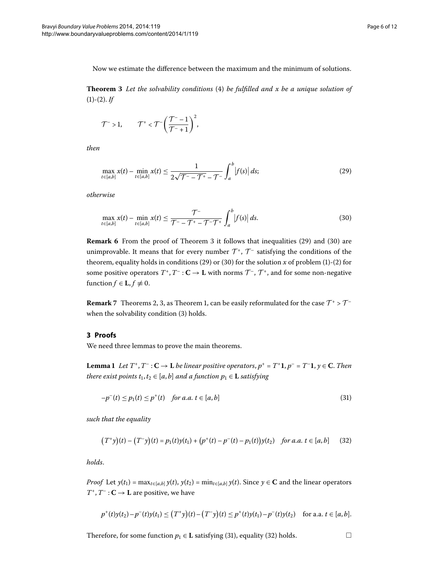<span id="page-5-0"></span>Now we estimate the difference between the maximum and the minimum of solutions.

**Theorem 3** Let the solvability conditions (4[\)](#page-0-4) be fulfilled and x be a unique solution of  $(1)-(2)$  $(1)-(2)$  $(1)-(2)$ . *If* 

<span id="page-5-2"></span>
$$
\mathcal{T}^{-}>1,\qquad \mathcal{T}^{+}<\mathcal{T}^{-}\bigg(\frac{\mathcal{T}^{-}-1}{\mathcal{T}^{-}+1}\bigg)^{2},
$$

*then*

<span id="page-5-3"></span>
$$
\max_{t \in [a,b]} x(t) - \min_{t \in [a,b]} x(t) \le \frac{1}{2\sqrt{\mathcal{T}^{-} - \mathcal{T}^{+}} - \mathcal{T}^{-}} \int_{a}^{b} |f(s)| \, ds; \tag{29}
$$

<span id="page-5-1"></span>*otherwise*

$$
\max_{t \in [a,b]} x(t) - \min_{t \in [a,b]} x(t) \le \frac{\mathcal{T}^{-}}{\mathcal{T}^{-} - \mathcal{T}^{+} - \mathcal{T}^{-}\mathcal{T}^{+}} \int_{a}^{b} |f(s)| \, ds. \tag{30}
$$

**Remark 6** From the proof of Theorem 3 it follows that inequalities [\(](#page-5-2)29) and (30) are unimprovable. It means that for every number  $\mathcal{T}^+$ ,  $\mathcal{T}^-$  satisfying the conditions of the theorem, equality holds in conditions [\(](#page-0-2)29) or (30) for the solution  $x$  of problem (1)-(2) for some positive operators  $T^*$ ,  $T^-$  :  $C \to L$  with norms  $\mathcal{T}^-$ ,  $\mathcal{T}^+$ , and for some non-negative function  $f \in L$ ,  $f \not\equiv 0$ .

<span id="page-5-6"></span>**Remark** 7 Theorems 2[,](#page-2-0) 3, as Theorem 1, can be easily reformulated for the case  $T^+ > T^-$ when the solvability condition [\(](#page-0-3)3) holds.

## **3 Proofs**

We need three lemmas to prove the main theorems.

**Lemma 1** Let  $T^+$ ,  $T^-$  :  $C \to L$  *be linear positive operators,*  $p^+ = T^+1$ *,*  $p^- = T^-1$ *,*  $y \in C$ *. Then there exist points*  $t_1, t_2 \in [a, b]$  *and a function*  $p_1 \in L$  *satisfying* 

<span id="page-5-5"></span><span id="page-5-4"></span>
$$
-p^{-}(t) \le p_{1}(t) \le p^{+}(t) \quad \text{for a.a. } t \in [a, b] \tag{31}
$$

*such that the equality*

$$
(T^+y)(t) - (T^-y)(t) = p_1(t)y(t_1) + (p^+(t) - p^-(t) - p_1(t))y(t_2) \text{ for a.a. } t \in [a, b]
$$
 (32)

*holds*.

*Proof* Let  $y(t_1) = \max_{t \in [a,b]} y(t)$ ,  $y(t_2) = \min_{t \in [a,b]} y(t)$ . Since  $y \in \mathbb{C}$  and the linear operators  $T^+$ ,  $T^-$  : **C**  $\rightarrow$  **L** are positive, we have

$$
p^+(t)y(t_2)-p^-(t)y(t_1)\leq (T^+y)(t)-(T^-y)(t)\leq p^+(t)y(t_1)-p^-(t)y(t_2) \quad \text{for a.a. } t\in [a,b].
$$

Therefore, for some function  $p_1 \in L$  satisfying [\(](#page-5-4)31), equality (32) holds.  $\Box$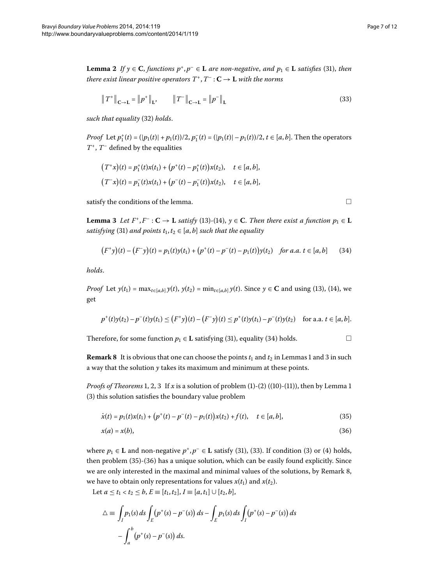<span id="page-6-6"></span>**Lemma 2** If  $\gamma \in \mathbb{C}$ , functions  $p^+, p^- \in \mathbb{L}$  are non-negative, and  $p_1 \in \mathbb{L}$  satisfies (31), then *there exist linear positive operators*  $T^+$ ,  $T^-$  :  $C \rightarrow L$  *with the norms* 

$$
\|T^+\|_{\mathbf{C}\to\mathbf{L}} = \|p^+\|_{\mathbf{L}}, \qquad \|T^-\|_{\mathbf{C}\to\mathbf{L}} = \|p^-\|_{\mathbf{L}} \tag{33}
$$

*such that equality* [\(](#page-5-5)32) *holds*.

<span id="page-6-0"></span>*Proof* Let  $p_1^+(t) = (|p_1(t)| + p_1(t))/2$ ,  $p_1^-(t) = (|p_1(t)| - p_1(t))/2$ ,  $t \in [a, b]$ . Then the operators *T*+, *T*– defined by the equalities

$$
(T^+x)(t) = p_1^+(t)x(t_1) + (p^+(t) - p_1^+(t))x(t_2), \quad t \in [a, b],
$$
  

$$
(T^-x)(t) = p_1^-(t)x(t_1) + (p^-(t) - p_1^-(t))x(t_2), \quad t \in [a, b],
$$

satisfy the conditions of the lemma.  $\Box$ 

**Lemma 3** Let  $F^+$ ,  $F^-$  :  $C \to L$  *satisfy* (13[\)](#page-2-10)-(14),  $y \in C$ . *Then there exist a function*  $p_1 \in L$ *satisfying* [\(](#page-5-4)31) *and points*  $t_1, t_2 \in [a, b]$  *such that the equality* 

$$
(F^+y)(t)-(F^-y)(t)=p_1(t)y(t_1)+\big(p^+(t)-p^-(t)-p_1(t)\big)y(t_2)\quad \text{for a.a. }t\in[a,b]\qquad (34)
$$

*holds*.

<span id="page-6-5"></span>*Proof* Let *y*(*t*<sub>1</sub>[\)](#page-2-9) = max<sub>*t*∈[*a*,*b*] *y*(*t*), *y*(*t*<sub>2</sub>) = min<sub>*t*∈[*a*,*b*] *y*(*t*). Since *y* ∈ **C** and using (13), (14), we</sub></sub> get

$$
p^+(t)y(t_2)-p^-(t)y(t_1)\leq (F^+y)(t)-(F^-y)(t)\leq p^+(t)y(t_1)-p^-(t)y(t_2) \quad \text{for a.a. } t\in [a,b].
$$

Therefore, for some function  $p_1 \in L$  satisfying [\(](#page-5-4)31), equality (34) holds.  $\Box$ 

**Remark 8** It is obvious that one can choose the points  $t_1$  and  $t_2$  in Lemmas 1 and 3 in such a way that the solution *y* takes its maximum and minimum at these points.

*Proofs of Theorems* 1, 2, 3 If  $x$  is a solution of problem [\(](#page-2-6)1)-(2) ((10)-(11)), then by Lemma 1 (3[\)](#page-6-0) this solution satisfies the boundary value problem

$$
\dot{x}(t) = p_1(t)x(t_1) + (p^+(t) - p^-(t) - p_1(t))x(t_2) + f(t), \quad t \in [a, b],
$$
\n(35)

$$
x(a) = x(b),\tag{36}
$$

where  $p_1 \in L$  and non-negative  $p^+, p^- \in L$  satisfy (31[\)](#page-6-2), [\(](#page-0-3)33). If condition (3) or (4) holds, then problem  $(35)-(36)$  $(35)-(36)$  $(35)-(36)$  has a unique solution, which can be easily found explicitly. Since we are only interested in the maximal and minimal values of the solutions, by Remark 8, we have to obtain only representations for values  $x(t_1)$  and  $x(t_2)$ .

Let *a* ≤ *t*<sub>1</sub> < *t*<sub>2</sub> ≤ *b*, *E* ≡ [*t*<sub>1</sub>, *t*<sub>2</sub>], *I* ≡ [*a*, *t*<sub>1</sub>] ∪ [*t*<sub>2</sub>, *b*],

$$
\Delta \equiv \int_{I} p_{1}(s) ds \int_{E} (p^{+}(s) - p^{-}(s)) ds - \int_{E} p_{1}(s) ds \int_{I} (p^{+}(s) - p^{-}(s)) ds - \int_{a}^{b} (p^{+}(s) - p^{-}(s)) ds.
$$

<span id="page-6-4"></span><span id="page-6-3"></span><span id="page-6-2"></span><span id="page-6-1"></span>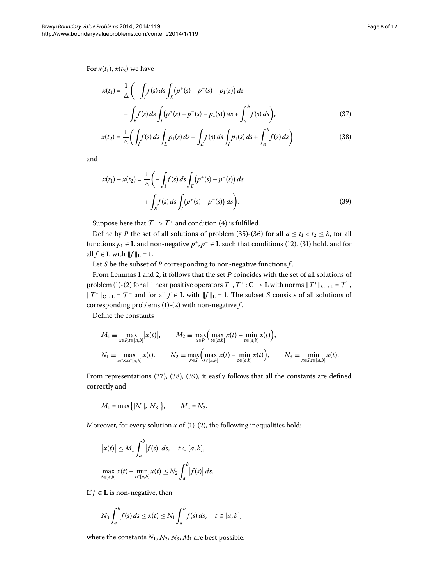For  $x(t_1)$ ,  $x(t_2)$  we have

<span id="page-7-1"></span><span id="page-7-0"></span>
$$
x(t_1) = \frac{1}{\Delta} \left( -\int_I f(s) \, ds \int_E (p^+(s) - p^-(s) - p_1(s)) \, ds + \int_E f(s) \, ds \int_I (p^+(s) - p^-(s) - p_1(s)) \, ds + \int_a^b f(s) \, ds \right),\tag{37}
$$

<span id="page-7-2"></span>
$$
x(t_2) = \frac{1}{\triangle} \left( \int_I f(s) \, ds \int_E p_1(s) \, ds - \int_E f(s) \, ds \int_I p_1(s) \, ds + \int_a^b f(s) \, ds \right) \tag{38}
$$

and

$$
x(t_1) - x(t_2) = \frac{1}{\Delta} \left( -\int_I f(s) \, ds \int_E (p^+(s) - p^-(s)) \, ds + \int_E f(s) \, ds \int_I (p^+(s) - p^-(s)) \, ds \right). \tag{39}
$$

Suppose here that  $T^{-} > T^{+}$  and condition (4) is fulfilled.

Define by *P* the set of all solutions of problem (35[\)](#page-6-3)-(36) for all  $a \le t_1 < t_2 \le b$ , for all functions  $p_1 \in L$  and non-negative  $p^+, p^- \in L$  such that conditions [\(](#page-5-4)12), (31) hold, and for all  $f \in L$  with  $||f||_L = 1$ .

Let *S* be the subset of *P* corresponding to non-negative functions *f* .

From Lemmas 1 and 2, it follows that the set *P* coincides with the set of all solutions of problem (1[\)](#page-0-2)-(2) for all linear positive operators  $T^-, T^+ : \mathbf{C} \to \mathbf{L}$  with norms  $||T^+||_{\mathbf{C} \to \mathbf{L}} = \mathcal{T}^+$ ,  $||T^-||_{\mathbf{C}\to\mathbf{L}} = \mathcal{T}^-$  and for all  $f \in \mathbf{L}$  with  $||f||_{\mathbf{L}} = 1$ . The subset *S* consists of all solutions of corresponding problems  $(1)-(2)$  $(1)-(2)$  $(1)-(2)$  with non-negative  $f$ .

Define the constants

$$
M_1 = \max_{x \in P, t \in [a,b]} |x(t)|, \qquad M_2 = \max_{x \in P} (\max_{t \in [a,b]} x(t) - \min_{t \in [a,b]} x(t)),
$$
  
\n
$$
N_1 = \max_{x \in S, t \in [a,b]} x(t), \qquad N_2 = \max_{x \in S} (\max_{t \in [a,b]} x(t) - \min_{t \in [a,b]} x(t)), \qquad N_3 = \min_{x \in S, t \in [a,b]} x(t).
$$

From representations  $(37)$  $(37)$  $(37)$ ,  $(38)$ ,  $(39)$ , it easily follows that all the constants are defined correctly and

$$
M_1 = \max\{|N_1|, |N_3|\}, \qquad M_2 = N_2.
$$

Moreover, for every solution  $x$  of [\(](#page-0-2)1)-(2), the following inequalities hold:

$$
\left|x(t)\right| \le M_1 \int_a^b \left|f(s)\right| ds, \quad t \in [a, b],
$$
  

$$
\max_{t \in [a, b]} x(t) - \min_{t \in [a, b]} x(t) \le N_2 \int_a^b \left|f(s)\right| ds.
$$

If  $f \in L$  is non-negative, then

$$
N_3 \int_a^b f(s) ds \le x(t) \le N_1 \int_a^b f(s) ds, \quad t \in [a, b],
$$

where the constants  $N_1$ ,  $N_2$ ,  $N_3$ ,  $M_1$  are best possible.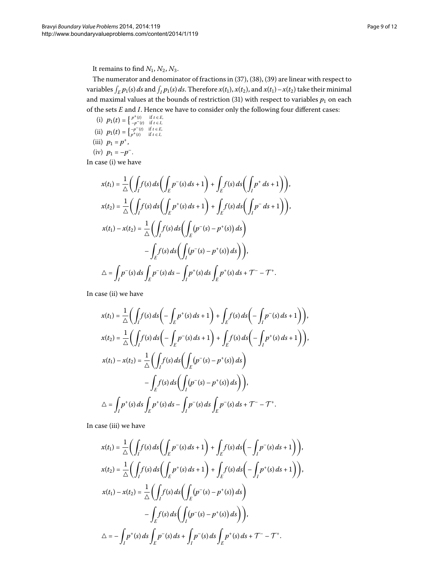It remains to find  $N_1$ ,  $N_2$ ,  $N_3$ .

The numerator and denominator of fractions in  $(37)$  $(37)$ ,  $(38)$ ,  $(39)$  are linear with respect to variables  $\int_E p_1(s) ds$  and  $\int_I p_1(s) ds$ . Therefore  $x(t_1)$ ,  $x(t_2)$ , and  $x(t_1) - x(t_2)$  take their minimal and maximal values at the bounds of restriction  $(31)$  $(31)$  with respect to variables  $p_1$  on each of the sets *E* and *I*. Hence we have to consider only the following four different cases:

- (i)  $p_1(t) = \begin{cases} p^+(t) & \text{if } t \in E, \\ -p^-(t) & \text{if } t \in I, \end{cases}$ (ii)  $p_1(t) = \begin{cases} -p^{-}(t) & \text{if } t \in E, \\ p^+(t) & \text{if } t \in I, \end{cases}$
- (iii)  $p_1 = p^+$ ,

(iv) 
$$
p_1 = -p^-
$$
.

In case (i) we have

$$
x(t_1) = \frac{1}{\Delta} \Biggl( \int_I f(s) \, ds \Biggl( \int_E p^-(s) \, ds + 1 \Biggr) + \int_E f(s) \, ds \Biggl( \int_I p^+ \, ds + 1 \Biggr) \Biggr),
$$
  
\n
$$
x(t_2) = \frac{1}{\Delta} \Biggl( \int_I f(s) \, ds \Biggl( \int_E p^+(s) \, ds + 1 \Biggr) + \int_E f(s) \, ds \Biggl( \int_I p^- \, ds + 1 \Biggr) \Biggr),
$$
  
\n
$$
x(t_1) - x(t_2) = \frac{1}{\Delta} \Biggl( \int_I f(s) \, ds \Biggl( \int_E (p^-(s) - p^+(s)) \, ds \Biggr) - \int_E f(s) \, ds \Biggl( \int_I (p^-(s) - p^+(s)) \, ds \Biggr) \Biggr),
$$
  
\n
$$
\Delta = \int_I p^-(s) \, ds \int_E p^-(s) \, ds - \int_I p^+(s) \, ds \int_E p^+(s) \, ds + \mathcal{T}^- - \mathcal{T}^+.
$$

In case (ii) we have

$$
x(t_1) = \frac{1}{\Delta} \Big( \int_I f(s) ds \Big( - \int_E p^+(s) ds + 1 \Big) + \int_E f(s) ds \Big( - \int_I p^-(s) ds + 1 \Big) \Big),
$$
  
\n
$$
x(t_2) = \frac{1}{\Delta} \Big( \int_I f(s) ds \Big( - \int_E p^-(s) ds + 1 \Big) + \int_E f(s) ds \Big( - \int_I p^+(s) ds + 1 \Big) \Big),
$$
  
\n
$$
x(t_1) - x(t_2) = \frac{1}{\Delta} \Big( \int_I f(s) ds \Big( \int_E (p^-(s) - p^+(s)) ds \Big) - \int_E f(s) ds \Big( \int_I (p^-(s) - p^+(s)) ds \Big) \Big),
$$
  
\n
$$
\Delta = \int_I p^+(s) ds \int_E p^+(s) ds - \int_I p^-(s) ds \int_E p^-(s) ds + \mathcal{T}^- - \mathcal{T}^+.
$$

In case (iii) we have

$$
x(t_1) = \frac{1}{\Delta} \Biggl( \int_I f(s) ds \Biggl( \int_E p^-(s) ds + 1 \Biggr) + \int_E f(s) ds \Biggl( - \int_I p^-(s) ds + 1 \Biggr) \Biggr),
$$
  
\n
$$
x(t_2) = \frac{1}{\Delta} \Biggl( \int_I f(s) ds \Biggl( \int_E p^+(s) ds + 1 \Biggr) + \int_E f(s) ds \Biggl( - \int_I p^+(s) ds + 1 \Biggr) \Biggr),
$$
  
\n
$$
x(t_1) - x(t_2) = \frac{1}{\Delta} \Biggl( \int_I f(s) ds \Biggl( \int_E (p^-(s) - p^+(s)) ds \Biggr) - \int_E f(s) ds \Biggl( \int_I (p^-(s) - p^+(s)) ds \Biggr) \Biggr),
$$
  
\n
$$
\Delta = - \int_I p^+(s) ds \int_E p^-(s) ds + \int_I p^-(s) ds \int_E p^+(s) ds + \mathcal{T}^- - \mathcal{T}^+.
$$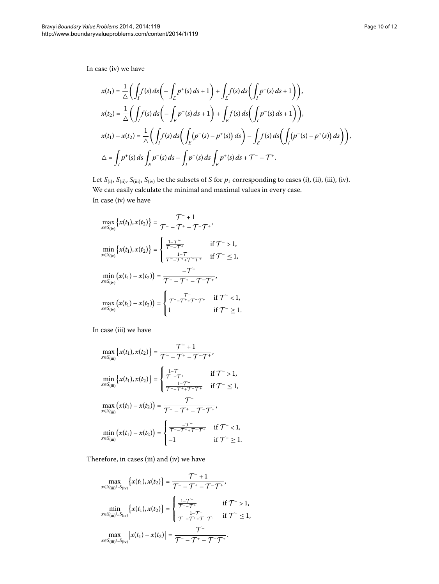In case (iv) we have

$$
x(t_1) = \frac{1}{\Delta} \Big( \int_I f(s) ds \Big( - \int_E p^+(s) ds + 1 \Big) + \int_E f(s) ds \Big( \int_I p^+(s) ds + 1 \Big) \Big),
$$
  
\n
$$
x(t_2) = \frac{1}{\Delta} \Big( \int_I f(s) ds \Big( - \int_E p^-(s) ds + 1 \Big) + \int_E f(s) ds \Big( \int_I p^-(s) ds + 1 \Big) \Big),
$$
  
\n
$$
x(t_1) - x(t_2) = \frac{1}{\Delta} \Big( \int_I f(s) ds \Big( \int_E (p^-(s) - p^+(s)) ds \Big) - \int_E f(s) ds \Big( \int_I (p^-(s) - p^+(s)) ds \Big) \Big),
$$
  
\n
$$
\Delta = \int_I p^+(s) ds \int_E p^-(s) ds - \int_I p^-(s) ds \int_E p^+(s) ds + \mathcal{T}^- - \mathcal{T}^+.
$$

Let  $S_{(i)}$ ,  $S_{(ii)}$ ,  $S_{(iii)}$ ,  $S_{(iv)}$  be the subsets of *S* for  $p_1$  corresponding to cases (i), (ii), (iii), (iv). We can easily calculate the minimal and maximal values in every case. In case (iv) we have

$$
\max_{x \in S_{(iv)}} \{x(t_1), x(t_2)\} = \frac{\mathcal{T}^{-} + 1}{\mathcal{T}^{-} - \mathcal{T}^{+} - \mathcal{T}^{-} \mathcal{T}^{+}},
$$
\n
$$
\min_{x \in S_{(iv)}} \{x(t_1), x(t_2)\} = \begin{cases}\n\frac{1 - \mathcal{T}^{-}}{\mathcal{T}^{-} - \mathcal{T}^{+}} & \text{if } \mathcal{T}^{-} > 1, \\
\frac{1 - \mathcal{T}^{-}}{\mathcal{T}^{-} - \mathcal{T}^{+} + \mathcal{T}^{-} \mathcal{T}^{+}} & \text{if } \mathcal{T}^{-} \leq 1, \\
\min_{x \in S_{(iv)}} \left(x(t_1) - x(t_2)\right) = \frac{-\mathcal{T}^{-}}{\mathcal{T}^{-} - \mathcal{T}^{+} - \mathcal{T}^{-} \mathcal{T}^{+}}, \\
\max_{x \in S_{(iv)}} \left(x(t_1) - x(t_2)\right) = \begin{cases}\n\frac{\mathcal{T}^{-}}{\mathcal{T}^{-} - \mathcal{T}^{+} + \mathcal{T}^{-} \mathcal{T}^{+}}} & \text{if } \mathcal{T}^{-} < 1, \\
1 & \text{if } \mathcal{T}^{-} \geq 1.\n\end{cases}
$$

In case (iii) we have

$$
\max_{x \in S_{(iii)}} \{x(t_1), x(t_2)\} = \frac{\mathcal{T}^{-} + 1}{\mathcal{T}^{-} - \mathcal{T}^{+} - \mathcal{T}^{-}\mathcal{T}^{+}},
$$
\n
$$
\min_{x \in S_{(iii)}} \{x(t_1), x(t_2)\} = \begin{cases}\n\frac{1 - \mathcal{T}^{-}}{\mathcal{T}^{-} - \mathcal{T}^{+}} & \text{if } \mathcal{T}^{-} > 1, \\
\frac{1 - \mathcal{T}^{-}}{\mathcal{T}^{-} - \mathcal{T}^{+} + \mathcal{T}^{-}\mathcal{T}^{+}} & \text{if } \mathcal{T}^{-} \leq 1, \\
\frac{1 - \mathcal{T}^{-}}{\mathcal{T}^{-} - \mathcal{T}^{+} + \mathcal{T}^{-}\mathcal{T}^{+}} & \text{if } \mathcal{T}^{-} \leq 1, \\
x \in S_{(iii)}\n\end{cases}
$$
\n
$$
\max_{x \in S_{(iii)}} (x(t_1) - x(t_2)) = \begin{cases}\n\frac{-\mathcal{T}^{-}}{\mathcal{T}^{-} - \mathcal{T}^{+} + \mathcal{T}^{-}\mathcal{T}^{+}} & \text{if } \mathcal{T}^{-} < 1, \\
-1 & \text{if } \mathcal{T}^{-} \geq 1.\n\end{cases}
$$

Therefore, in cases (iii) and (iv) we have

$$
\max_{x \in S_{(iii)} \cup S_{(iv)}} \{x(t_1), x(t_2)\} = \frac{\mathcal{T}^{-} + 1}{\mathcal{T}^{-} - \mathcal{T}^{+} - \mathcal{T}^{-} \mathcal{T}^{+}} ,\newline \min_{x \in S_{(iii)} \cup S_{(iv)}} \{x(t_1), x(t_2)\} = \begin{cases} \frac{1 - \mathcal{T}^{-}}{\mathcal{T}^{-} - \mathcal{T}^{+}} & \text{if } \mathcal{T}^{-} > 1, \\ \frac{1 - \mathcal{T}^{-}}{\mathcal{T}^{-} - \mathcal{T}^{+} + \mathcal{T}^{-} \mathcal{T}^{+}} & \text{if } \mathcal{T}^{-} \leq 1, \\ \frac{1 - \mathcal{T}^{-}}{\mathcal{T}^{-} - \mathcal{T}^{+} + \mathcal{T}^{-} \mathcal{T}^{+}} & \text{if } \mathcal{T}^{-} \leq 1, \\ x \in S_{(iii)} \cup S_{(iv)} \end{cases}
$$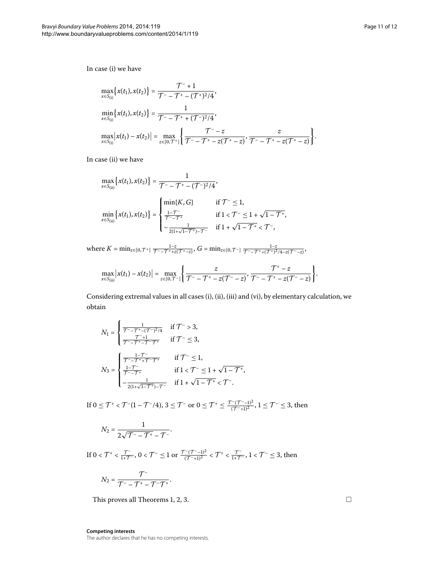In case (i) we have

$$
\max_{x \in S_{(i)}} \{x(t_1), x(t_2)\} = \frac{\mathcal{T}^{-} + 1}{\mathcal{T}^{-} - \mathcal{T}^{+} - (\mathcal{T}^{+})^2/4},
$$
\n
$$
\min_{x \in S_{(i)}} \{x(t_1), x(t_2)\} = \frac{1}{\mathcal{T}^{-} - \mathcal{T}^{+} + (\mathcal{T}^{-})^2/4},
$$
\n
$$
\max_{x \in S_{(i)}} \left|x(t_1) - x(t_2)\right| = \max_{z \in [0, \mathcal{T}^{+}]} \left\{\frac{\mathcal{T}^{-} - z}{\mathcal{T}^{-} - \mathcal{T}^{+} - z(\mathcal{T}^{+} - z)}, \frac{z}{\mathcal{T}^{-} - \mathcal{T}^{+} - z(\mathcal{T}^{+} - z)}\right\}.
$$

In case (ii) we have

$$
\max_{x \in S_{(ii)}} \left\{ x(t_1), x(t_2) \right\} = \frac{1}{\mathcal{T}^{-} - \mathcal{T}^{+} - (\mathcal{T}^{-})^2/4},
$$
\n
$$
\min_{x \in S_{(ii)}} \left\{ x(t_1), x(t_2) \right\} = \begin{cases}\n\min\{K, G\} & \text{if } \mathcal{T}^{-} \le 1, \\
\frac{1 - \mathcal{T}^{-}}{\mathcal{T}^{-} - \mathcal{T}^{+}} & \text{if } 1 < \mathcal{T}^{-} \le 1 + \sqrt{1 - \mathcal{T}^{+}}, \\
-\frac{1}{2(1 + \sqrt{1 - \mathcal{T}^{+}}) - \mathcal{T}^{-}} & \text{if } 1 + \sqrt{1 - \mathcal{T}^{+}} < \mathcal{T}^{-},\n\end{cases}
$$

where  $K = \min_{z \in [0, \mathcal{T}^+]} \frac{1-z}{\mathcal{T}^-\!-\mathcal{T}^+ + z(\mathcal{T}^+ - z)}, G = \min_{z \in [0, \mathcal{T}^-]} \frac{1-z}{\mathcal{T}^-\!-\mathcal{T}^+ + (\mathcal{T}^+)^2/4 - z(\mathcal{T}^- - z)},$ 

$$
\max_{x \in S_{\text{(ii)}}} \big| x(t_1) - x(t_2) \big| = \max_{z \in [0, \mathcal{T}^-]} \bigg\{ \frac{z}{\mathcal{T}^- - \mathcal{T}^+ - z(\mathcal{T}^- - z)}, \frac{\mathcal{T}^+ - z}{\mathcal{T}^- - \mathcal{T}^+ - z(\mathcal{T}^- - z)} \bigg\}.
$$

Considering extremal values in all cases (i), (ii), (iii) and (vi), by elementary calculation, we obtain

$$
N_1 = \begin{cases} \frac{1}{\mathcal{T}^{-} - \mathcal{T}^{+} - (\mathcal{T}^{-})^2/4} & \text{if } \mathcal{T}^{-} > 3, \\ \frac{\mathcal{T}^{-} + 1}{\mathcal{T}^{-} - \mathcal{T}^{+} - \mathcal{T}^{-} + 1} & \text{if } \mathcal{T}^{-} \leq 3, \end{cases}
$$

$$
N_3 = \begin{cases} \frac{1 - \mathcal{T}^{-}}{\mathcal{T}^{-} - \mathcal{T}^{+} + \mathcal{T}^{-} - \mathcal{T}^{+}} & \text{if } \mathcal{T}^{-} \leq 1, \\ \frac{1 - \mathcal{T}^{-}}{\mathcal{T}^{-} - \mathcal{T}^{+}} & \text{if } 1 < \mathcal{T}^{-} \leq 1 + \sqrt{1 - \mathcal{T}^{+}}, \\ -\frac{1}{2(1 + \sqrt{1 - \mathcal{T}^{+}}) - \mathcal{T}^{-}} & \text{if } 1 + \sqrt{1 - \mathcal{T}^{+}} < \mathcal{T}^{-}. \end{cases}
$$

If  $0 \leq \mathcal{T}^+ < \mathcal{T}^-(1-\mathcal{T}^-/4)$ ,  $3 \leq \mathcal{T}^-$  or  $0 \leq \mathcal{T}^+ \leq \frac{\mathcal{T}^-(\mathcal{T}^--1)^2}{(\mathcal{T}^-\!+\!1)^2}$ ,  $1 \leq \mathcal{T}^- \leq 3$ , then

$$
N_2=\frac{1}{2\sqrt{\mathcal{T}^--\mathcal{T}^+}-\mathcal{T}^-}.
$$

If  $0 < T^+ < \frac{T^-}{1+\mathcal{T}^-}$ ,  $0 < \mathcal{T}^- \leq 1$  or  $\frac{\mathcal{T}^-(\mathcal{T}^--1)^2}{(\mathcal{T}^--1)^2} < \mathcal{T}^+ < \frac{\mathcal{T}^-}{1+\mathcal{T}^-}$ ,  $1 < \mathcal{T}^- \leq 3$ , then  $N_2 = \frac{\mathcal{T}^{-1}}{\mathcal{T}^{-1} - \mathcal{T}^{+1}}$ 

$$
N_2=\frac{1}{\mathcal{T}^--\mathcal{T}^+-\mathcal{T}^-\mathcal{T}^+}.
$$

This proves all Theorems 1[,](#page-4-0) 2, 3.

**Competing interests** The author declares that he has no competing interests.  $\Box$